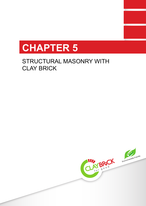# **CHAPTER 5**

# STRUCTURAL MASONRY WITH CLAY BRICK

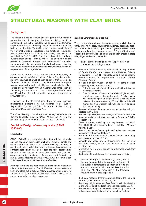

# STRUCTURAL MASONRY WITH CLAY BRICK

# **Background**

The National Building Regulations are generally functional in nature, i.e. they do not prescribe how a building should be constructed, but rather stipulate the qualitative performance requirements that the building design or construction of the building must satisfy. To facilitate the use and application of the National Building Regulations the functional regulations are supported by a set of deemed-to-satisfy rules which are published in SANS 10400, The Application of the National Building Regulations – Part K: Walls. The deemed-to-satisfy provisions describe design and construction methods, materials and solutions, which if applied, will ensure that the building so designed and constructed will satisfy the functional requirements of the regulations.

SANS 10400-Part K: Walls provides deemed-to-satisfy or empirical rules to satisfy the National Building Regulations. Any masonry structure of a wall of such structure that falls outside the scope of SANS 10400-K is subject to a rational design to provide structural integrity, stability and serviceability; this is carried out using South African National Standards, such as the loading and structural masonry standards, i.e. SANS 10160 and 10164, Parts 1 and 2 respectively (soon to be superseded by Eurocode 6).

In addition to the aforementioned there are also technical requirements published by the National Home Builders Registration Council (NHBRC) in terms of the Housing Consumer Protection Measures Act.

The Clay Masonry Manual summarizes key aspects of the deemed-to-satisfy rules in SANS 10400-Part K with the understanding that these documents shall be consulted.

# **Empirical Design of masonry walls (SANS 10400-K)**

#### **Introduction**

SANS 10400-K is a comprehensive standard that inter alia outlines aspect of permissible wall panel sizes for single and double storey dwellings and framed buildings, foundation and freestanding walls (boundary, retaining, balustrade and parapet), define and detail lateral support to walls, detail control, movement and articulation joints and various fixing details, arches, anchoring details of roofs and provide information on lintels. Salient features of SANS 10400-K will be summarized to illustrate the use of the deem-to-satisfy rules.

Although reference has been made to "brick" in earlier chapters it is important to note that SANS 10400-K does not refer to a brick or a block but to solid or hollow masonry units. Except for the section on control joints no reference is made to the type of masonry material, i.e. clay or concrete.

#### **Building Limitations (Clause 4.2.1)**

The provisions hereafter apply only to masonry walls in dwelling units, dwelling houses, educational buildings, hospitals, hotels and other institutional occupancies and general offices where the imposed floor load does not exceed 3,0 kN/m<sup>2</sup> that are not exposed to severe wind loadings arising from crests of steep hills, ridges and escarpments, in:

- a) single storey buildings or the upper storey of double storey buildings where:
- the foundations for masonry walls satisfy the requirements of SANS 10400-H: Application of the National Building Regulations – Part H: Foundations and the supporting members satisfy the requirements of SANS 10400-B: Structural Design;
- the span of roof trusses or rafters (or both) between supporting walls does not exceed:
	- 6,0 m in respect of a single leaf wall with a thickness less than 110 mm;
	- 8,0 m in respect of 140 mm, or greater, single leaf walls and all cavity and collar jointed walls. A collar jointed wall comprises parallel single leaf walls with the space between them not exceeding 25 mm, filled solidly with mortar and tied together with wall ties know as crimp ties (see figure 6)
- the nominal height of masonry above the top of openings is not less than 0,4 m;
- the average compressive strength of hollow and solid masonry units is not less than 3,0 MPa and 4,0 MPa, respectively;
- Class II mortar satisfying the requirements of SANS 2001-CM1, Construction standards – Part: CM1: Masonry walling, is used;
- the mass of the roof covering in roofs other than concrete slabs does not exceed 80 kg/m<sup>2</sup>;
- the span of the concrete roof slabs between supporting walls does not exceed 6,0 m;
- concrete roof slabs are not thicker than 255 mm if of solid construction, or the equivalent mass if of voided construction;
- foundation walls are not thinner than the walls which they support; and
- the height of foundation walls does not exceed 1,5 m,
- b) the lower storey in a double storey building where the requirements listed in a) are still relevant but the average compressive strength of the hollow and solid masonry units are not less than 7,0 MPa and 10 MPa respectively; the following requirements are also applicable:
- the height measured from the ground floor to the top of an external gable does not exceed 8,0 m;
- the storey height measured from floor to wall plate level or to the underside of the first floor does not exceed 3,0 m;
- the walls supporting floor elements are of cavity construction or have a nominal thickness of not less than 140 mm.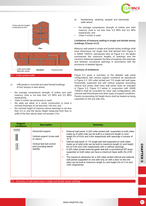



- c) infill panels in concrete and steel framed buildings of four storeys or less where:
- the average compressive strength of hollow and solid masonry units is not less than 3,0 MPa and 5,0 MPa respectively;
- Class II mortar (as previously) is used;
- the walls are either of a cavity construction or have a nominal thickness of not less than 140 mm; and
- the nominal height of masonry above openings is not less than 0,4 m; and the storey height measured from floor to soffit of the floor above does not exceed 3,3m.
- d) freestanding, retaining, parapet and balustrade walls where:
- the average compressive strength of hollow and solid masonry units is not less than 3,0 MPa and 5,0 MPa respectively; and
- Class II mortar is used.

# **Limitations of masonry walling in single and double storey buildings (Clause 4.2.2)**

Masonry wall panels in single and double storey buildings shall have dimensions not longer than that derived from Figure 4 in SANS 10400-K, reproduced here as Figure 5.3. Six tables summarizes the maximum lengths of openings and the minimum distances between the face of supports and openings and between successive openings in accordance with the provisions of detailed figures.

# **Summary of limitations**

Figure 5.2 gives a summary of the detailed wall panel configurations with various support conditions as reproduced in Figure 5.3. 220 collar jointed and 110 single leaf wall types horizontally supported and with vertical supports (excluding vertical butt joints) shall have wall panel sizes as indicated in Figure 5.2; Figure 5.3 below in conjunction with SANS 10400-K shall be consulted for other wall configurations with nominal wall thicknesses and other types of support conditions. Panels incorporating full height doors shall be treated as being supported on the one side only.

| <b>Support</b><br>conditions | <b>Description</b>                                                                                                                     | <b>Summary</b>                                                                                                                                                                                                                                                                                                                                                                                                                                                                                                                                                                                                                                                                                                                                                                                                                                                               |                      |
|------------------------------|----------------------------------------------------------------------------------------------------------------------------------------|------------------------------------------------------------------------------------------------------------------------------------------------------------------------------------------------------------------------------------------------------------------------------------------------------------------------------------------------------------------------------------------------------------------------------------------------------------------------------------------------------------------------------------------------------------------------------------------------------------------------------------------------------------------------------------------------------------------------------------------------------------------------------------------------------------------------------------------------------------------------------|----------------------|
| <i>77777</i><br>⋙            | Horizontal support<br>Vertical support (cross wall<br>or return)<br>Vertical tied butt control<br>joint providing lateral<br>stability | External wall panel: A 220 collar jointed wall supported on both sides<br>٠<br>made up of solid units can be built to a maximum length (L) and<br>height (H) of 9,0m and 4,6m respectively with openings in excess of<br>15 %<br>Internal wall panel: A 110 single leaf wall supported on both sides<br>$\bullet$<br>made up of solid units can be built to maximum length (L) and height<br>(H) of 5,5m and 3,6m respectively with or without openings.<br>A 220 collar jointed external gable wall with a symmetrical 26° slope<br>$\bullet$<br>supported on both sides can have a maximum base width (G) of 80<br>m<br>The maximum dimension for a 220 collar jointed internal and external<br>$\bullet$<br>wall panels supported on one side only (or with a door on the one<br>side) can be built to maximum length (L) and height (H) of 3,1m and<br>3,6m respectively | ワエメマーロス<br><b>ហា</b> |
|                              | 5.2 - Summary of wall panel sizes in single and double storey buildings                                                                |                                                                                                                                                                                                                                                                                                                                                                                                                                                                                                                                                                                                                                                                                                                                                                                                                                                                              |                      |
|                              |                                                                                                                                        | www.claybrick.org                                                                                                                                                                                                                                                                                                                                                                                                                                                                                                                                                                                                                                                                                                                                                                                                                                                            | 21                   |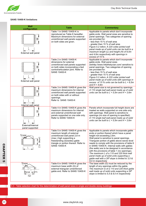

# **SANS 10400-K limitations**

| Wall<br>configuration                     | <b>Table</b>                                                                                                                                                                                                                  | <b>Commentary</b>                                                                                                                                                                                                                                                                                                                                                                                                                                                                                                                                                                             |  |  |
|-------------------------------------------|-------------------------------------------------------------------------------------------------------------------------------------------------------------------------------------------------------------------------------|-----------------------------------------------------------------------------------------------------------------------------------------------------------------------------------------------------------------------------------------------------------------------------------------------------------------------------------------------------------------------------------------------------------------------------------------------------------------------------------------------------------------------------------------------------------------------------------------------|--|--|
| External wall panel                       | Table 1 in SANS 10400-K is<br>reproduced as Table 6 hereafter.<br>Maximum dimensions for external<br>unreinforced wall panels supported<br>on both sides are given.                                                           | Applicable to panels which don't incorporate<br>gable ends. Wall panel sizes are sensitive to<br>panel openings. Two categories of opening<br>are provided for:<br>- less than 15 % of wall area<br>- greater than 15 % of wall area<br>Figure 5.2 refers: A 220 collar jointed wall<br>panel made up of solid units can be built to a<br>maximum length (L) and height (H) of 9,0m<br>and 4,6m respectively with openings in<br>excess of 15 %                                                                                                                                               |  |  |
| External wall panel                       | Table 2 in SANS 10400-K<br>dimensions for external<br>unreinforced wall panels supported<br>on both sides incorporating a tied<br>control/articulation joint. Refer to<br><b>SANS 10400-K</b>                                 | Applicable to panels which don't incorporate<br>gable ends. Wall panel sizes<br>arehttp://www.hikethelycian.com/ sensitive to<br>panel openings. Two categories of opening<br>are provided for:<br>- less than 15 % of wall area<br>- greater than 15 % of wall area<br>Figure 5.2 refers: A 220 collar jointed wall<br>panel made up of solid units with openings in<br>excess of 15 % units can be built to $L = 8.5m$<br>and $H = 4.6m$                                                                                                                                                    |  |  |
| Internal wall panel                       | Table 3 in SANS 10400-K gives the<br>maximum dimensions for internal<br>unreinforced wall panels supported<br>on both sides with or without<br>openings.<br>Refer to SANS 10400-K                                             | Wall panel size is not governed by openings.<br>A 110 single leaf wall panel made up of solid<br>units can be built to $L = 5,5m$ and $H = 3,6m$                                                                                                                                                                                                                                                                                                                                                                                                                                              |  |  |
| H<br>External/Internal<br>panel supported | Table 4 in SANS 10400-K gives the<br>maximum dimensions for internal<br>and external unreinforced wall<br>panels supported on one side only.<br>Refer to SANS 10400-K                                                         | Panels which incorporate full height doors are<br>treated as walls supported on one side only<br>with openings. Wall panel is sensitive to<br>openings (no size of opening is specified).<br>A 110 single leaf wall panel made up of solid<br>units can be built to $L = 5,5m$ and $H = 3,6m$                                                                                                                                                                                                                                                                                                 |  |  |
| Slope<br>(max)<br>XXXX<br>XXX<br>$\sim$   | Table 5 in SANS 10400-K gives the<br>maximum length of external<br>unreinforced wall panel 2,6 m<br>(max.) high supporting a<br>freestanding (isosoles) gable<br>triangle or portion thereof. Refer to<br><b>SANS 10400-K</b> | Applicable to panels which incorporate gable<br>ends or portion thereof which have a panel<br>height not exceeding 2,6m.<br>Wall panel is sensitive to panel openings.<br>Triangular portion of gable above eaves level<br>needs to comply with the provisions of table 6<br>in SANS 10400-K. Internal walls with gables<br>(fire walls) are to be designed in accordance<br>with the provisions of table 1 (no openings).<br>The maximum L of a 110 and 220 thick wall<br>panel made up of solid units supporting a<br>gable wall with a 26° slope is limited to 3,5 &<br>8,0 m respectively |  |  |
| Slope<br>Base width<br>(G)                | Table 6 in SANS 10400-K gives the<br>maximum base width (G) of<br>external triangular unreinforced<br>gable end. Refer to SANS 10400-K                                                                                        | The base width (G) must be reduced by the<br>length of any openings within the gable.<br>The maximum G of a 110 and 220 thick gable<br>wall made up of solid units supporting a 26°<br>slope is limited to 5,5 & 8,0 m respectively                                                                                                                                                                                                                                                                                                                                                           |  |  |

5.3 - Table selection chart for the determination of wall panel sizes in single and double storey buildings

CHAPTER 5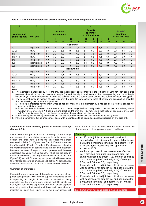

# **Table 5.1 - Maximum dimensions for external masonry wall panels supported on both sides**

|                                     | $\overline{2}$   |     | 3   |                               |                     |     | 4                     |                            |                |                          | 5                |                            |                          |
|-------------------------------------|------------------|-----|-----|-------------------------------|---------------------|-----|-----------------------|----------------------------|----------------|--------------------------|------------------|----------------------------|--------------------------|
| <b>Nominal wall</b><br>thickness mm | <b>Wall type</b> |     |     | <b>Panel A</b><br>no openings |                     |     | $\leq$ 15 % wall area | <b>Panel B</b><br>openings |                |                          | > 15 % wall area | <b>Panel C</b><br>openings |                          |
|                                     |                  |     | н   |                               | н                   | L   | н                     |                            | н              | L                        | н                |                            | н                        |
|                                     |                  | m   | m   | m                             | m                   | m   | m                     | m                          | m              | m                        | m                | m                          | m                        |
|                                     |                  |     |     |                               | <b>Solid units</b>  |     |                       |                            |                |                          |                  |                            |                          |
| 90                                  | single leaf      | 3,2 | 2,4 | 2,8                           | 3,4                 | 2,7 | 2,4                   | 2,5                        | 3,4            | 2,7                      | 2,4              | 2,3                        | 3,4                      |
| 90-90                               | cavity           | 5,5 | 2,7 | 5,5                           | 3,9                 | 5,5 | 2,7                   | 5,0                        | 3,9            | 5,5                      | 2,4              | 4,5                        | 3,9                      |
| 110                                 | single leaf      | 4,5 | 2,7 | 4,0                           | 3,6                 | 4,0 | 2,7                   | 3,5                        | 3,6            | 3,5                      | 2,7              | 3,0                        | 3,6                      |
| 110-110                             | cavity           | 7,0 | 3,3 | 6,0                           | 4,4                 | 7,0 | 2,4                   | 5,5                        | 4,4            | 6,5                      | 2,4              | 5,0                        | 4,4                      |
| 140                                 | single leaf      | 7,0 | 3,3 | 6,0                           | 4,3                 | 6,5 | 2,4                   | 5,2                        | 4,3            | 6,0                      | 2,7              | 5,0                        | 4,3                      |
| 190                                 | collar jointed   | 8,0 | 4,6 | 8,0                           | 4,6                 | 8,0 | 4,6                   | 8,0                        | 4,6            | 8,0                      | 4,0              | 7,5                        | 4,6                      |
| 220                                 | collar jointed   | 9,0 | 4,6 | 9,0                           | 4,6                 | 9,0 | 4,6                   | 9,0                        | 4,6            | 9,0                      | 4,6              | 9,0                        | 4,6                      |
|                                     |                  |     |     |                               | <b>Hollow units</b> |     |                       |                            |                |                          |                  |                            |                          |
| 90                                  | single leaf      | 2,8 | 2,4 | 2,5                           | 3,4                 |     | $\blacksquare$        | $\blacksquare$             | $\blacksquare$ | $\overline{\phantom{a}}$ | $\blacksquare$   | $\overline{a}$             | $\overline{\phantom{a}}$ |
| 90-90                               | cavity           | 5,0 | 2,7 | 4,5                           | 3,9                 | 4,5 | 2,4                   | 4,0                        | 3,9            | 4,0                      | 2,7              | 3,5                        | 3,9                      |
| 110                                 | single leaf      | 3,5 | 2,4 | 3,3                           | 3,6                 | 3,0 | 2,4                   | 2,8                        | 3,6            | 3,0                      | 2,4              | 2,8                        | 3,6                      |
| 110-110                             | cavity           | 6,0 | 2,4 | 5,0                           | 4,2                 | 5,0 | 2,4                   | 4,2                        | 4,2            | 4,5                      | 2,7              | 4,2                        | 4,2                      |
| 140                                 | single leaf      | 5,5 | 2,4 | 4,5                           | 4,2                 | 4,5 | 2,7                   | 4,0                        | 4,2            | 4,2                      | 2,4              | 3,7                        | 4,2                      |
| 190<br>$\mathbf{r}$                 | single leaf      | 7,5 | 2,7 | 6,0                           | 4,4                 | 6,5 | 2,4                   | 5,0                        | 4,6            | 6,0                      | 2,7              | 4,8                        | 4,4                      |

#### **Note:**

1. Two alternative panel sizes (L x H) are provided in respect of each panel type; the left hand column for each panel type provides dimensions for the maximum length (L) and the right hand column the corresponding maximum height dimension (H). Linear interpolation is permitted between these two sets of panel dimensions but not between wall types.

2. The values tabulated in respect of solid units may be used for corresponding walls of hollow unit construction provided that the following reinforcement is provided:

a) Truss type brickforce having main wires of not less than 3,55 mm diameter built into courses at vertical centres not exceeding 400 mm; and

b) Either two 5,6 mm diameter rods in 90 mm and 110 mm single leaf and cavity walls in the bed joint immediately above window level, or a single Y8 bar in a bond block in 140 mm and 190 mm single leaf walls at this same level, such reinforcements extending across the entire length of the panel and into the supports.

3. Where collar joints in collar jointed walls are not fully mortared, such walls shall be treated as cavity walls.

Panels incorporating full height doors or doors with fanlights are to be treated as panels supported on one side only.

# **Limitations of infill masonry panels in framed buildings (Clause 4.2.3)**

Infill masonry wall panels in framed buildings of four storeys and less are sized in a similar manner as those in the previous section and shall have dimensions not longer than those contained in Table 3 or Figure 10 of SANS 10400-K or derived from Tables 9 to 15 in the Standard. Panel sizes are subject to the maximum lengths of openings and the minimum distances between the face of supports and openings and between successive openings. Vertical supports, which are provided by means of intersecting masonry walls are similar as before (See Figure 5.2), whilst infill masonry wall panels shall be connected to reinforced concrete columns and slab soffits. All joints shall be filled with elasto-plastic sealants to accommodate movement.

# **Summary of limitations**

Figure 5.5 gives a summary of the order of magnitude of wall panel configurations with various support conditions; panels incorporating full height doors shall be treated as being supported on the one side only. Jointed and 110 single leaf wall types horizontally supported and with vertical supports (excluding vertical butt joints) shall have wall panel sizes as indicated in Figure 5.2; Figure 5.3 below in conjunction with

SANS 10400-K shall be consulted for other nominal wall thicknesses and other types of support conditions.

#### **Summary**

- A 220 collar jointed external wall panel wall supported on both sides made up of solid units can be built to a maximum length (L) and height (H) of 9,0m and 3,3m respectively with openings in excess of 15 %
- We with the state of the state of the state of the state of the state of the state of the state of the state of the state of the state wided by the life it is the stand becomes smaller, i.e. and can be built to a maximum l As the support conditions become less effective, i.e. if provided with a tied joint on one side the same wall becomes smaller, i.e. and can be built to a maximum length (L) and height (H) of 9,0m (or 8,0m) and 2,4m (or 3,3) respectively
	- If provided with a tied joint on both sides the same wall becomes even smaller, i.e. and can be built to a maximum length (L) and height (H) of 7,0m (or 5,5m) and 2,4m (or 3,3) respectively
	- If provided with a tied joint on both sides the same wall becomes even smaller, i.e. and can be built to a maximum length (L) and height (H) of 7,0m (or 5,5m) and 2,4m (or 3,3) respectively

5.5 - Summary of wall panel sizes in framed buildings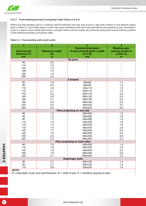

# **5.2.5.1 Free-standing boundary and garden walls (Clause 4.2.4.2)**

Where any free-standing wall is a masonry wall the thickness and pier size of such a wall shall conform to the relevant values given in Table 5.2; such walls retain no earth, have piers extending to the top of the wall without any reduction in size, terminate in a pier or a return a have solidly filled cores in all piers where units are hollow. No horizontal damp proof course shall be provided in free-standing boundary and garden walls.

# **Table 5.2 - Free-standing walls (solid units)**

| 1                   | $\overline{2}$        | 3                               | $\overline{\mathbf{4}}$ |
|---------------------|-----------------------|---------------------------------|-------------------------|
|                     |                       | <b>Nominal dimensions</b>       | <b>Maximum pier</b>     |
| <b>Nominal wall</b> | <b>Maximum height</b> | of piers (overall depth x width | spacing (centre to      |
| thickness (T)       | (H)                   | (D X W)                         | centre; S)              |
| mm                  | m                     | mm                              | m                       |
|                     |                       | No piers                        |                         |
| 90                  | 0,8                   |                                 |                         |
| 110                 | 1,0                   |                                 |                         |
| 140                 | 1,3                   |                                 |                         |
| 190                 | 1,5                   |                                 |                         |
| 220                 | 1,8                   |                                 |                         |
| 290                 | 2,2                   |                                 |                         |
|                     |                       | Z shaped                        |                         |
| 90                  | 1,8                   | 390x90                          | 1,2                     |
| 90                  | 2,0                   | 490x90                          | 1,4                     |
| 110                 | 1,6                   | 330x110                         | 1,5                     |
| 110                 | 2,1                   | 440x110                         | 1,5                     |
| 140                 | 2,2                   | 440x140                         | 2,0                     |
| 140                 | 2,5                   | 590x140                         | 2,5                     |
| 190                 | 2,1                   | 390x190                         | 2,5                     |
| 190                 | 2,5                   | 490x190                         | 3,0                     |
| 220                 | 2,4                   | 440x220                         | 3,0                     |
| 220                 | 2,8                   | 550x220                         | 4,0                     |
|                     |                       | Piers projecting on one side    |                         |
| $\overline{90}$     | 1,4                   | 290x290                         | 1,4                     |
| 90                  | 1,5                   | 390x290                         | 1,6                     |
| 90                  | 1,7                   | 490x290                         | 1,6                     |
| 110                 | 1,5                   | 330x330                         | 1,8                     |
| 110                 | 1,5                   | 440x330                         | 1,8                     |
| 110                 | 1,9                   | 550x330                         | 2,0                     |
| 140                 | 1,7                   | 440x440                         | 2,2                     |
| 140                 | 1,8                   | 590x390                         | 2,5                     |
| 190                 | 2,0                   | 590x390                         | 2,8                     |
| 220                 | 2,3                   | 660x440                         | 3,2                     |
|                     |                       | Piers projecting on both sides  |                         |
| 90                  | 1,5                   | 490x290                         | 1,4                     |
| 110                 | 1,6                   | 550x330                         | 1,8                     |
| 140                 | 1,6                   | 440x440                         | 2,2                     |
| 190                 | 1,8                   | 590x390                         | 2,8                     |
| 220                 | 2,1                   | 660x440                         | 3,2                     |
|                     |                       | <b>Diaphragm walls</b>          |                         |
| 90                  | 2,1                   | 290x190                         | 1,4                     |
| 90                  | 2,7                   | 390x190                         | 1,4                     |
| 110<br>$\mathbf{A}$ | 2,6                   | 330x220                         | 1,6                     |

**NOTE:**

 $D =$  total depth of pier plus wall thickness; W = width of pier; S = centreline spacing of piers.

CHAPTER 5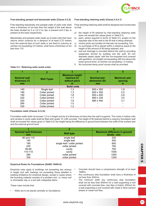

# **Free-standing parapet and balustrade walls (Clause 4.2.5)**

Free-standing balustrade and parapet walls of solid units shall have a thickness of not less than the height of the wall above the base divided by 5 or 4,5 if no dpc is present and if dpc is present at the base respectively.

Balustrades and parapet walls made up of solid units that have returns which continue for a distance of at least 0,75 metres from the external face of such walls or are fixed to columns at centres not exceeding 3,5 metres, shall have a thickness of not less than 110.

#### **Free-standing retaining walls (Clause 4.2.4.1)**

Free-standing retaining walls shall be designed and constructed so that:

- a) the height of fill retained by free-standing retaining walls does not exceed the values given in Table 5.5;
- b) piers, where required in terms of Table 5.5, project on the opposite side of the wall to the fill that is being retained;
- c) control joints are located at intervals not exceeding 10m;
- d) no surcharge of fill is placed within a distance equal to the height of the amount of fill being retained; and
- e) sub-soil drainage is provided behind the wall by providing weepholes formed by building into the waIl, 50 mm diameter plastic pipes, with the non-exposed end covered with geofabric, at a height not exceeding 300 mm above the lower ground level, at centres not exceeding 1,5 metres.
- f) No horizontal damp proof course shall be provided.

| <b>Nominal wall</b><br>thickness (T)<br><sub>mm</sub> | <b>Wall Types</b> | <b>Maximum height</b><br>retained (h)<br>without piers<br>m | <b>Nominal pier</b><br>dimension (D)<br>mm | <b>Maximum pier</b><br>spacing<br>m |
|-------------------------------------------------------|-------------------|-------------------------------------------------------------|--------------------------------------------|-------------------------------------|
|                                                       |                   | Solid units                                                 |                                            |                                     |
| 140                                                   | Single leaf       | 1,3                                                         | 600 x 300                                  | 1,8                                 |
| 190                                                   | Collar jointed    | 1.3                                                         | 600 x 300                                  | 2,5                                 |
| 190                                                   | Collar jointed    | 1,6                                                         | 800 x 400                                  | 2,6                                 |
| 220                                                   | Collar jointed    | 1,7                                                         | 660 x 330                                  | 3,0                                 |
| 220                                                   | Collar jointed    | 1.8                                                         | 880 x 440                                  | 3,1                                 |
| 290                                                   | Collar jointed    | 1.0                                                         |                                            |                                     |
| 330                                                   | Collar jointed    |                                                             |                                            |                                     |

#### **Table 5.3 - Retaining walls (solid units)**

#### **Foundation walls (Clause 4.2.2.6)**

Foundation walls shall not exceed 1,5 m in height and be of a thickness not less than the wall it supports. The cores in hollow units and cavities in cavity walls shall be filled with grade 10; infill concrete. The height of fill retained behind a masonry foundation wall shall not exceed the values given in Table 5.6; the height being the difference in ground level between the soffit of the surface bed and the external ground level

|                                                                                                                                                                                                                                                                                                                                                                                                                                                                                                                                                                                                                                                                                                                                                                                                                                                                                                                                                          | 2                            |  | 3                            |  |         |
|----------------------------------------------------------------------------------------------------------------------------------------------------------------------------------------------------------------------------------------------------------------------------------------------------------------------------------------------------------------------------------------------------------------------------------------------------------------------------------------------------------------------------------------------------------------------------------------------------------------------------------------------------------------------------------------------------------------------------------------------------------------------------------------------------------------------------------------------------------------------------------------------------------------------------------------------------------|------------------------------|--|------------------------------|--|---------|
| <b>Nominal wall thickness</b>                                                                                                                                                                                                                                                                                                                                                                                                                                                                                                                                                                                                                                                                                                                                                                                                                                                                                                                            | <b>Wall type</b>             |  | Maximum difference in ground |  |         |
| mm                                                                                                                                                                                                                                                                                                                                                                                                                                                                                                                                                                                                                                                                                                                                                                                                                                                                                                                                                       |                              |  | levels - mm                  |  |         |
| 90 and 110                                                                                                                                                                                                                                                                                                                                                                                                                                                                                                                                                                                                                                                                                                                                                                                                                                                                                                                                               | single leaf                  |  | 200                          |  |         |
| 140                                                                                                                                                                                                                                                                                                                                                                                                                                                                                                                                                                                                                                                                                                                                                                                                                                                                                                                                                      | single leaf                  |  | 400                          |  |         |
| 190                                                                                                                                                                                                                                                                                                                                                                                                                                                                                                                                                                                                                                                                                                                                                                                                                                                                                                                                                      | single leaf / collar jointed |  | 600                          |  |         |
| 220                                                                                                                                                                                                                                                                                                                                                                                                                                                                                                                                                                                                                                                                                                                                                                                                                                                                                                                                                      | collar jointed               |  | 700                          |  |         |
| 90-90                                                                                                                                                                                                                                                                                                                                                                                                                                                                                                                                                                                                                                                                                                                                                                                                                                                                                                                                                    | cavity                       |  | 700                          |  |         |
| 110-110                                                                                                                                                                                                                                                                                                                                                                                                                                                                                                                                                                                                                                                                                                                                                                                                                                                                                                                                                  | cavity                       |  | 1000                         |  |         |
| 290                                                                                                                                                                                                                                                                                                                                                                                                                                                                                                                                                                                                                                                                                                                                                                                                                                                                                                                                                      | collar jointed               |  | 1000                         |  |         |
| 330                                                                                                                                                                                                                                                                                                                                                                                                                                                                                                                                                                                                                                                                                                                                                                                                                                                                                                                                                      | collar jointed               |  | 1200                         |  | ワエメマーロス |
| <b>Empirical Rules for Foundations (SANS 10400-H)</b><br>Concrete should have a compressive strength of at least<br>Empiricla rules apply to buildings not exceeding two storeys<br>10MPa.<br>in height and with loadings not exceeding those detailed in<br>Any continuous strip foundation shall have a thickness of<br>building limitations for empirical design, except in cases where<br>$\bullet$<br>not less than 200mm.<br>the founding material consists of a problem soil, i.e. heavy soil<br>The minimum width any continuous strip foundation<br>or shrinkable clay or a soil with collapsible fabric.<br>$\bullet$<br>shall not be less than 600mm for a wall supporting a roof<br>covered with concrete tiles, clay tiles or thatch; 400mm for<br>These rules include that:<br>a wall supporting a roof covered with metal or fibre-cement<br>sheets or metal roof tiles.<br>Walls are to be placed centrally on foundations.<br>$\bullet$ |                              |  |                              |  |         |
|                                                                                                                                                                                                                                                                                                                                                                                                                                                                                                                                                                                                                                                                                                                                                                                                                                                                                                                                                          | www.claybrick.org            |  |                              |  | 25      |

#### **Empirical Rules for Foundations (SANS 10400-H)**

- Concrete should have a compressive strength of at least 10MPa.
- Any continuous strip foundation shall have a thickness of not less than 200mm.
- The minimum width any continuous strip foundation shall not be less than 600mm for a wall supporting a roof covered with concrete tiles, clay tiles or thatch; 400mm for a wall supporting a roof covered with metal or fibre-cement sheets or metal roof tiles.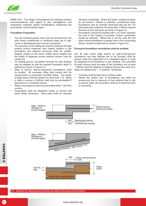

SABS 0161: The design of foundations for buildings contains recommendations with regard to site investigations and inspections, materials, design considerations, earthworks and excavations, and foundation types.

#### **Foundation Preparation**

- Top soil containing grass roots must be removed from the area where unreinforced or reinforced slabs are to rest. Loose or disturbed ground must be compacted.
- The accuracy of the setting out shall be achieved through positive control measures: their relative location to site boundaries and adjacent structures shall be verified. Regular checks on the trench widths trench lengths and the length of diagonals across external corners must be carried out.
- On sloping ground, foundation trenches for strip footings may be stepped so that the required foundation depth is attained as shown in Figure 5.3.
- Sites of receive 'slab-on-the-ground foundations' shall be levelled. All necessary filling shall comply with the requirements of compaction provided below. The bases of edge beams shall be sloped not more than 1:10. Steps in slabs in excess of 400mm shall only be permissible if approved by a competent person.
- Steps in foundations shall not be provided within 1,0m from corners.
- Excavations shall be deepened locally to remove soft spots where necessary. Hard spots shall be removed

wherever practicable. Where soft spots / isolated boulders do not exceed 1 500mm in diameter, unreinforced strips foundations may be centrally reinforced with two No Y12 bars externally a distance of not less than 1 500mm beyond the face of such soft spots as shown in Figure 5.2.

• Excavations should be prodded with a 10-12mm diameter bar prior to the casting of concrete. Uniform penetration should be obtained. Where this is not the case the soft spots (where penetration is greater than in the surrounding areas), should be dealt with as shown in Figure 5.2.

#### **Excessive foundation excavations shall be avoided.**

Any fill upon which edge beams of 'slab-on-the-ground' foundations and strip footings are to be founded, shall be placed under the supervision of a competent person or shall be deepened to be founded on in situ material. The controlled fill shall continue past the edge of the foundation and at least 1 000mm shall be retained or battered beyond this point by a slope not steeper than 1 : 2 (vertical : horizontal).

- Trenches shall be kept free of surface water.
- Where the bottom part of foundations has dried out excessively due to exposure or has softened due to rain or ground water, the excavation shall be re-bottomed prior to concreting.



5.6 - Methods for stepping strip footings and slab-on-the-ground foundations

CHAPTER 5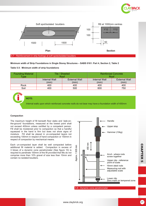



**Minimum width of Strip Foundations in Single Storey Structures – SABS 0161: Part 4, Section 2, Table 2**

# **Table 5.5: Minimum width of strip foundations**

| <b>Founding Material</b> |               | Tile / Sheeted       | <b>Reinforced Concrete</b> |                      |  |
|--------------------------|---------------|----------------------|----------------------------|----------------------|--|
| Tvpe                     |               | Roof                 | Roof                       |                      |  |
|                          | Internal Wall | <b>External Wall</b> | Internal Wall              | <b>External Wall</b> |  |
|                          | (mm)          | (mm)                 | (mm)                       | (mm)                 |  |
| Rock                     | 400           | 400                  | 400                        | 400                  |  |
| Soil                     | 400           | 500                  | 600                        | 750                  |  |

i **NOTE:**

Internal walls upon which reinforced concrete roofs do not bear may have a foundation width of 400mm

# **Compaction**

The maximum height of fill beneath floor slabs and 'slab-onthe-ground' foundations, measured at the lowest point shall not exceed 400mm unless certified by a competent person. Fill shall be moistened prior to compaction so that a handful squeezed in the hand is firm but does not show signs of moisture. Fill shall be placed in un-compacted layers not exceeding 100mm in respect of hand compaction or 150mm in respect of compaction by mechanical means.

Each un-compacted layer shall be well compacted before additional fill material is added. Compaction in excess of 3 blows of a dynamic cone penetrometer (See figure 10) is required to penetrate 100mm of the fill provided that fills do not comprise more than 10% gravel of size less than 10mm and contain no isolated boulders.



5.8 - Dynamic cone penetrometer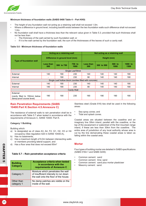

# **Minimum thickness of foundation walls (SABS 0400 Table 4 – Part KK9)**

- The height of any foundation wall not acting as a retaining wall shall not exceed 1,5m.
- Where a difference in ground level, including backfill exists between the two foundation walls such difference shall not exceed 1,0m.
- No foundation wall shall have a thickness less than the relevant value given in Table 5.3; provided that such thickness shall not be less than:
	- The thickness of the wall carried by such foundation wall; or
	- If it is the wall carried by the foundation wall, the sum of the thicknesses of the leaves of such a cavity wall.

# **Table 5.6 - Minimum thickness of foundation walls**

|                                                                       | Acting as a retaining wall |                                                          |                | Not acting as a retaining wall |            |                |                 |
|-----------------------------------------------------------------------|----------------------------|----------------------------------------------------------|----------------|--------------------------------|------------|----------------|-----------------|
| <b>Type of foundation wall</b>                                        |                            | Difference in ground level (mm)                          |                | Height (mm)                    |            |                |                 |
|                                                                       | <b>Less than</b><br>500    | 500 to 750                                               | 750 to<br>1000 | Less than<br>300               | 300 to 500 | 500 to<br>1000 | 1000 to<br>1500 |
|                                                                       | Single Leaf Brick          |                                                          |                |                                |            |                |                 |
| External                                                              | 140                        | 190                                                      | 230            | 140                            | 140        | 140            | 190             |
| Internal                                                              | -                          | 190                                                      | 230            | 90                             | 140        | 140            | 190             |
|                                                                       |                            | Single Leaf hollow block (cavities filled with concrete) |                |                                |            |                |                 |
| External                                                              | 140                        | 190                                                      | 230            | 140                            | 140        | 140            | 190             |
| Internal                                                              | 140                        | 190                                                      | 230            | 90                             | 140        | 140            | 190             |
| Cavity Wall                                                           |                            |                                                          |                |                                |            |                |                 |
| External<br>(cavity filled to 150mm below<br>damp-proof course level) | 190                        | 190                                                      | 230            | 190                            | 190        | 190            | 190             |

# **Rain Penetration Requirements (SABS 10400:Part K:Section 4.5:Annexure C)**

The resistance of external walls to rain penetration shall be in accordance with Table 5.7 when tested in accordance with the requirements of Annexure C, SANS 10400: Part K.

# **Category 1 Building**

Building which:

- a) Is designated as of class A3, A4, F2, G1, H2, H3 or H4 occupancy (See regulation A20 in SANS 10400-A),
- b) Has no basements,
- c) Has a maximum length of 6,0m between intersecting walls or members providing lateral support, and
- d) Has a floor area that does not exceed 80m<sup>2</sup>

# **Table 5.7 – Rain penetration acceptance criteria**

| <b>Building</b><br><b>Category</b> | <b>Acceptance criteria when tested</b><br>in accordance with the<br>requirements of Annexure C                       |
|------------------------------------|----------------------------------------------------------------------------------------------------------------------|
| Category 1                         | Moisture which penetrates the wall<br>of insufficient intensity to run down<br>the wall onto the floor of the house. |
| Other than<br>category 1           | No damp patches are visible on the<br>inside of the wall.                                                            |

Stainless steel (Grade 816) ties shall be used in the following areas:

- Sea spray zones; and
- Tidal and splash zones.

Coastal areas are situated between the coastline and an imaginary line 30km inland, parallel with the coastline, or the top of the escarpment or watershed of the first mountain range inland, if these are less than 30km from the coastline. The entire area of jurisdiction of any local authority whose area is cut by the line demarcating these coastal areas is taken as falling within the coastal area.

# **Mortar**

Four types of building mortar are detailed in SABS specifications (SABS 0164-1 and SABS 0249):

- Common cement: sand
- Common cement: lime; sand
- Common cement: sand plus mortar plasticiser
- Masonry cement: sand.

CHAPTER 5

<sub>ហ</sub>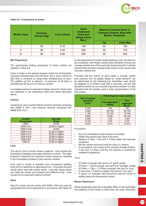

# **Table 5.8 - Proportions of mortar**

| <b>Mortar class</b> | <b>Common</b><br><b>Cement (kg)</b> | <b>Lime (Litres)</b> | Sand<br>(measured<br>loose and<br>damp) (Litres<br>$Max.$ ) |    | <b>Masonry Cement; Sand or</b><br><b>Common Cement, Sand with</b><br><b>Mortar, Plasticiser</b> |
|---------------------|-------------------------------------|----------------------|-------------------------------------------------------------|----|-------------------------------------------------------------------------------------------------|
|                     |                                     |                      |                                                             | kg | <b>Litres Max</b>                                                                               |
|                     | 50                                  | $0 - 10$             | 130                                                         | 50 | 100                                                                                             |
| Ш                   | 50                                  | $0 - 40$             | 200                                                         | 50 | 170                                                                                             |
| Ш                   | 50                                  | $0 - 80$             | 300                                                         | 50 | 200                                                                                             |

#### **Mix Proportions**

The approximate limiting proportions of these mortars are detailed in Table 5.8.

Class II mortar is the general purpose mortar for all brickwork. Concrete wheelbarrows have 65 litres and a sand volume of 200 litres is achieved by using three wheelbarrows of sand. The addition of lime is optional. A maximum of 40 litres is permitted per 50 kg unit of common cement.

A competent person is required to design mixes for mortars that use materials or mix proportions other than those described above.

#### **Cement**

Cements for use in mortar shall be common cements complying with SABS E 197-1, and masonry cements complying with SABS ENV 413-1.

| <b>Cement</b><br><b>Designation</b> | <b>Strength</b><br>Glade |
|-------------------------------------|--------------------------|
| CEM I                               | 42.5N                    |
| CEM II A-L                          | 32,5N or higher          |
| CEM II A-M                          | 42,5N                    |
| CEM II A-S                          | 32,5N or higher          |
| CEM II A-V                          | 32,5N or higher          |
| CEM II B-S                          | 32,5N or higher          |
| CEM II BV                           | 32,5N or higher          |
| <b>CEM III</b>                      | 32,5N or higher          |

#### **Lime**

The use of Lime in mortar mixes is optional. Lime imparts the properties of plasticity and water retention to mortar. The latter property is important as it prevents mortar drying out, resulting in the incomplete hydration of the common cement.

Lime used in mortar is hydrated lime (commercial bedding lime) and not quicklime or agricultural lime. Lime gives the best results when used with coarse sands. Lime with clayey sands can make tile mortar over-cohesive and difficult to use. Lime should not be used with masonry cement.

#### **Sand**

Sand for mortar should comply with SABS 1090 and must be well graded from 5mm downwards in accordance with Table 5.8 In the assessment of mortar sands grading is only one factor to be considered, with shape, surface area character of fines and average particle size of the sand also being important. A simple practical field test that includes these factors is the cement and concrete institute test.

Provided that the choice of sand yields a smooth, plastic and cohesive mix, its quality, based on "water demand" can be determined by the following test. Quantities used should be weighed on a kitchen scale that is accurate, and tile test should be carried out on a smooth impervious surface. It is also important that the sample used is fairly representative of the bulk supply.

| <b>Size of square</b> | <b>Percentage by mass passing</b> |                                    |  |  |  |
|-----------------------|-----------------------------------|------------------------------------|--|--|--|
| apertures<br>(mm)     | Fine aggregate<br><b>Plaster</b>  | Fine<br>aggregate<br><b>Mortar</b> |  |  |  |
| 4,750                 | 100                               | 100                                |  |  |  |
| 2,360                 | 90-100                            | 90-100                             |  |  |  |
| 1,180                 | 70-100                            | 70-100                             |  |  |  |
| 0,600                 | 40-90                             | 40-100                             |  |  |  |
| 0,300                 | 5,65                              | 5,85                               |  |  |  |
| 0,150                 | $0 - 20$                          | $0 - 35$                           |  |  |  |
| 0.075                 | $0 - 7.5$                         | $0 - 12.5$                         |  |  |  |

#### **Procedure:**

- Dry out a wheelbarrow full of sand to be tested.
- Weigh 5kg cement and 25kg of dry sand.
- Measure 5 litres, 1 litre and 1,5 litres water into separate containers.
- Mix the cement and sand until the colour is uniform.
- Mix the cement and sand until the colour is uniform.<br>
In succession, mix in each of the volumes of water (5 litres,<br>
1 litre and 1,5 litres) until the mix reaches a consistency<br>
The latter<br>
The latter<br>
The latter suitable In succession, mix in each of the volumes of water (5 litres, 1 litre and 1,5 litres) until the mix reaches a consistency suitable for plastering.

#### **Then:**

- If 5 litres is enough -the sand is of "good" quality
- If 5 litres + 1 litre is enough -the sand is of "average" quality
- If 5 litres + 1 litre + 1,5 litres is enough -the sand is "poor"
- If more than 7.5 litres is needed -the sand is "very poor"
- A "good " or "average" sand should be used for mortar in walling below the damp-proof course".

#### **Mortar Plasticisers**

Mortar plasticisers exercise a desirable effect on the workability and plasticity of the mortar in which they are used. Generally,